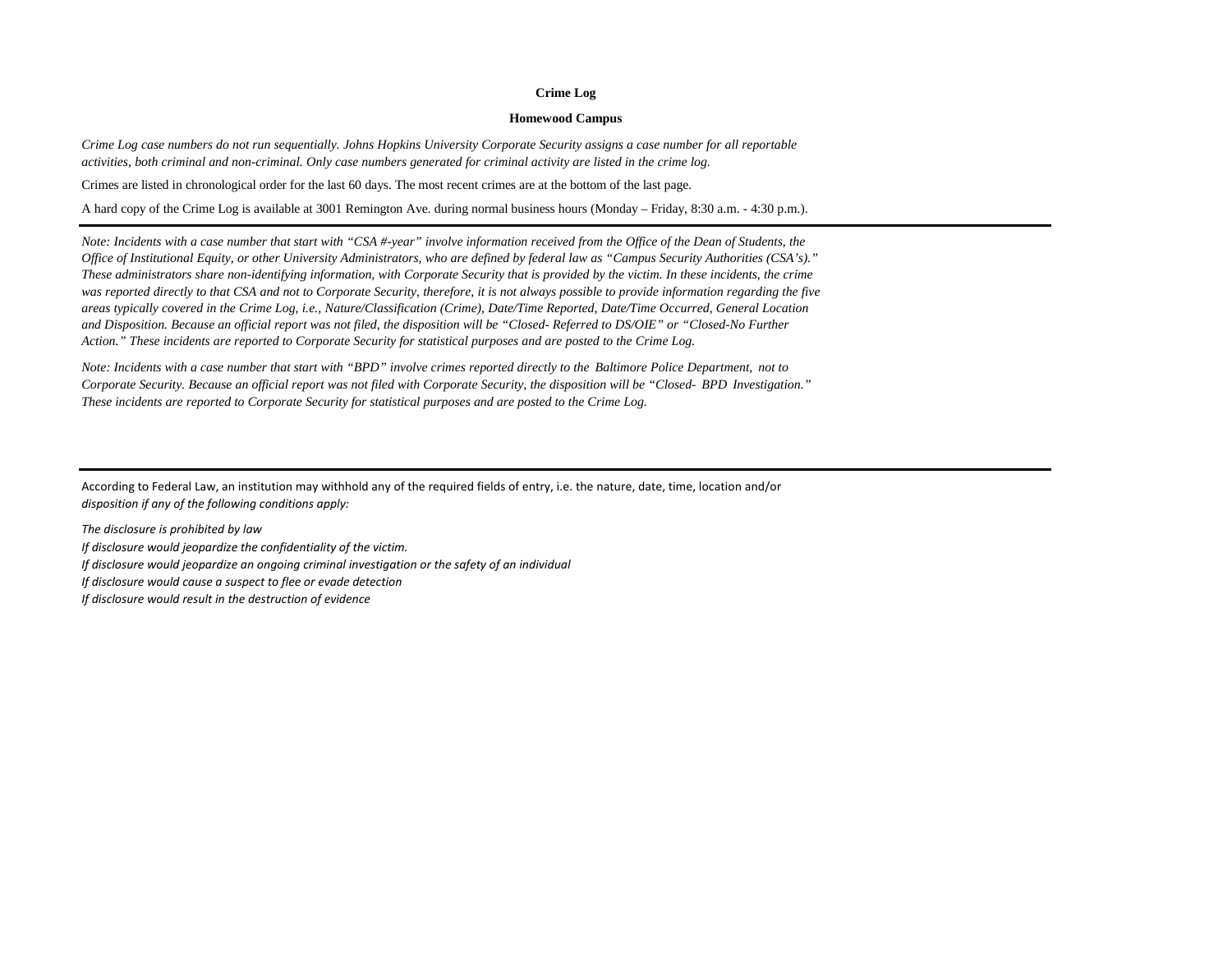## **Crime Log**

## **Homewood Campus**

*Crime Log case numbers do not run sequentially. Johns Hopkins University Corporate Security assigns a case number for all reportable activities, both criminal and non-criminal. Only case numbers generated for criminal activity are listed in the crime log.*

Crimes are listed in chronological order for the last 60 days. The most recent crimes are at the bottom of the last page.

A hard copy of the Crime Log is available at 3001 Remington Ave. during normal business hours (Monday – Friday, 8:30 a.m. - 4:30 p.m.).

*Note: Incidents with a case number that start with "CSA #-year" involve information received from the Office of the Dean of Students, the Office of Institutional Equity, or other University Administrators, who are defined by federal law as "Campus Security Authorities (CSA's)." These administrators share non-identifying information, with Corporate Security that is provided by the victim. In these incidents, the crime was reported directly to that CSA and not to Corporate Security, therefore, it is not always possible to provide information regarding the five areas typically covered in the Crime Log, i.e., Nature/Classification (Crime), Date/Time Reported, Date/Time Occurred, General Location and Disposition. Because an official report was not filed, the disposition will be "Closed- Referred to DS/OIE" or "Closed-No Further Action." These incidents are reported to Corporate Security for statistical purposes and are posted to the Crime Log.*

*Note: Incidents with a case number that start with "BPD" involve crimes reported directly to the Baltimore Police Department, not to Corporate Security. Because an official report was not filed with Corporate Security, the disposition will be "Closed- BPD Investigation." These incidents are reported to Corporate Security for statistical purposes and are posted to the Crime Log.*

According to Federal Law, an institution may withhold any of the required fields of entry, i.e. the nature, date, time, location and/or *disposition if any of the following conditions apply:* 

*The disclosure is prohibited by law If disclosure would jeopardize the confidentiality of the victim. If disclosure would jeopardize an ongoing criminal investigation or the safety of an individual If disclosure would cause a suspect to flee or evade detection If disclosure would result in the destruction of evidence*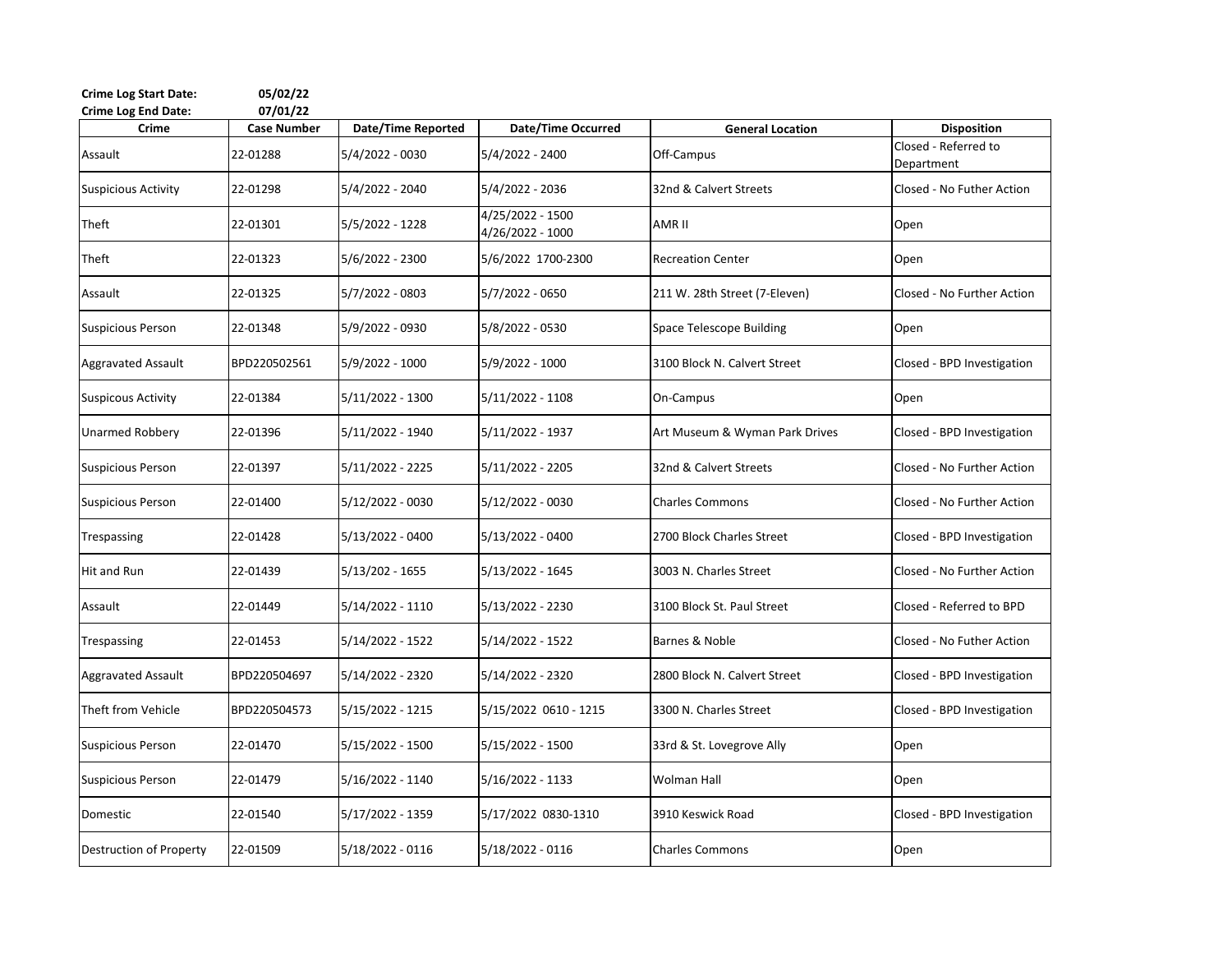| <b>Crime Log Start Date:</b><br><b>Crime Log End Date:</b> | 05/02/22<br>07/01/22 |                           |                                      |                                |                                    |
|------------------------------------------------------------|----------------------|---------------------------|--------------------------------------|--------------------------------|------------------------------------|
| Crime                                                      | <b>Case Number</b>   | <b>Date/Time Reported</b> | Date/Time Occurred                   | <b>General Location</b>        | <b>Disposition</b>                 |
| Assault                                                    | 22-01288             | 5/4/2022 - 0030           | 5/4/2022 - 2400                      | Off-Campus                     | Closed - Referred to<br>Department |
| <b>Suspicious Activity</b>                                 | 22-01298             | 5/4/2022 - 2040           | 5/4/2022 - 2036                      | 32nd & Calvert Streets         | Closed - No Futher Action          |
| Theft                                                      | 22-01301             | 5/5/2022 - 1228           | 4/25/2022 - 1500<br>4/26/2022 - 1000 | AMR II                         | Open                               |
| Theft                                                      | 22-01323             | 5/6/2022 - 2300           | 5/6/2022 1700-2300                   | <b>Recreation Center</b>       | Open                               |
| Assault                                                    | 22-01325             | 5/7/2022 - 0803           | 5/7/2022 - 0650                      | 211 W. 28th Street (7-Eleven)  | Closed - No Further Action         |
| <b>Suspicious Person</b>                                   | 22-01348             | 5/9/2022 - 0930           | 5/8/2022 - 0530                      | Space Telescope Building       | Open                               |
| Aggravated Assault                                         | BPD220502561         | 5/9/2022 - 1000           | 5/9/2022 - 1000                      | 3100 Block N. Calvert Street   | Closed - BPD Investigation         |
| <b>Suspicous Activity</b>                                  | 22-01384             | 5/11/2022 - 1300          | 5/11/2022 - 1108                     | On-Campus                      | Open                               |
| Unarmed Robbery                                            | 22-01396             | 5/11/2022 - 1940          | 5/11/2022 - 1937                     | Art Museum & Wyman Park Drives | Closed - BPD Investigation         |
| <b>Suspicious Person</b>                                   | 22-01397             | 5/11/2022 - 2225          | 5/11/2022 - 2205                     | 32nd & Calvert Streets         | Closed - No Further Action         |
| <b>Suspicious Person</b>                                   | 22-01400             | $5/12/2022 - 0030$        | 5/12/2022 - 0030                     | <b>Charles Commons</b>         | Closed - No Further Action         |
| Trespassing                                                | 22-01428             | 5/13/2022 - 0400          | 5/13/2022 - 0400                     | 2700 Block Charles Street      | Closed - BPD Investigation         |
| <b>Hit and Run</b>                                         | 22-01439             | $5/13/202 - 1655$         | 5/13/2022 - 1645                     | 3003 N. Charles Street         | Closed - No Further Action         |
| Assault                                                    | 22-01449             | 5/14/2022 - 1110          | 5/13/2022 - 2230                     | 3100 Block St. Paul Street     | Closed - Referred to BPD           |
| Trespassing                                                | 22-01453             | 5/14/2022 - 1522          | 5/14/2022 - 1522                     | Barnes & Noble                 | Closed - No Futher Action          |
| <b>Aggravated Assault</b>                                  | BPD220504697         | 5/14/2022 - 2320          | 5/14/2022 - 2320                     | 2800 Block N. Calvert Street   | Closed - BPD Investigation         |
| Theft from Vehicle                                         | BPD220504573         | 5/15/2022 - 1215          | 5/15/2022 0610 - 1215                | 3300 N. Charles Street         | Closed - BPD Investigation         |
| <b>Suspicious Person</b>                                   | 22-01470             | 5/15/2022 - 1500          | 5/15/2022 - 1500                     | 33rd & St. Lovegrove Ally      | Open                               |
| <b>Suspicious Person</b>                                   | 22-01479             | 5/16/2022 - 1140          | 5/16/2022 - 1133                     | Wolman Hall                    | Open                               |
| Domestic                                                   | 22-01540             | 5/17/2022 - 1359          | 5/17/2022 0830-1310                  | 3910 Keswick Road              | Closed - BPD Investigation         |
| Destruction of Property                                    | 22-01509             | 5/18/2022 - 0116          | 5/18/2022 - 0116                     | <b>Charles Commons</b>         | Open                               |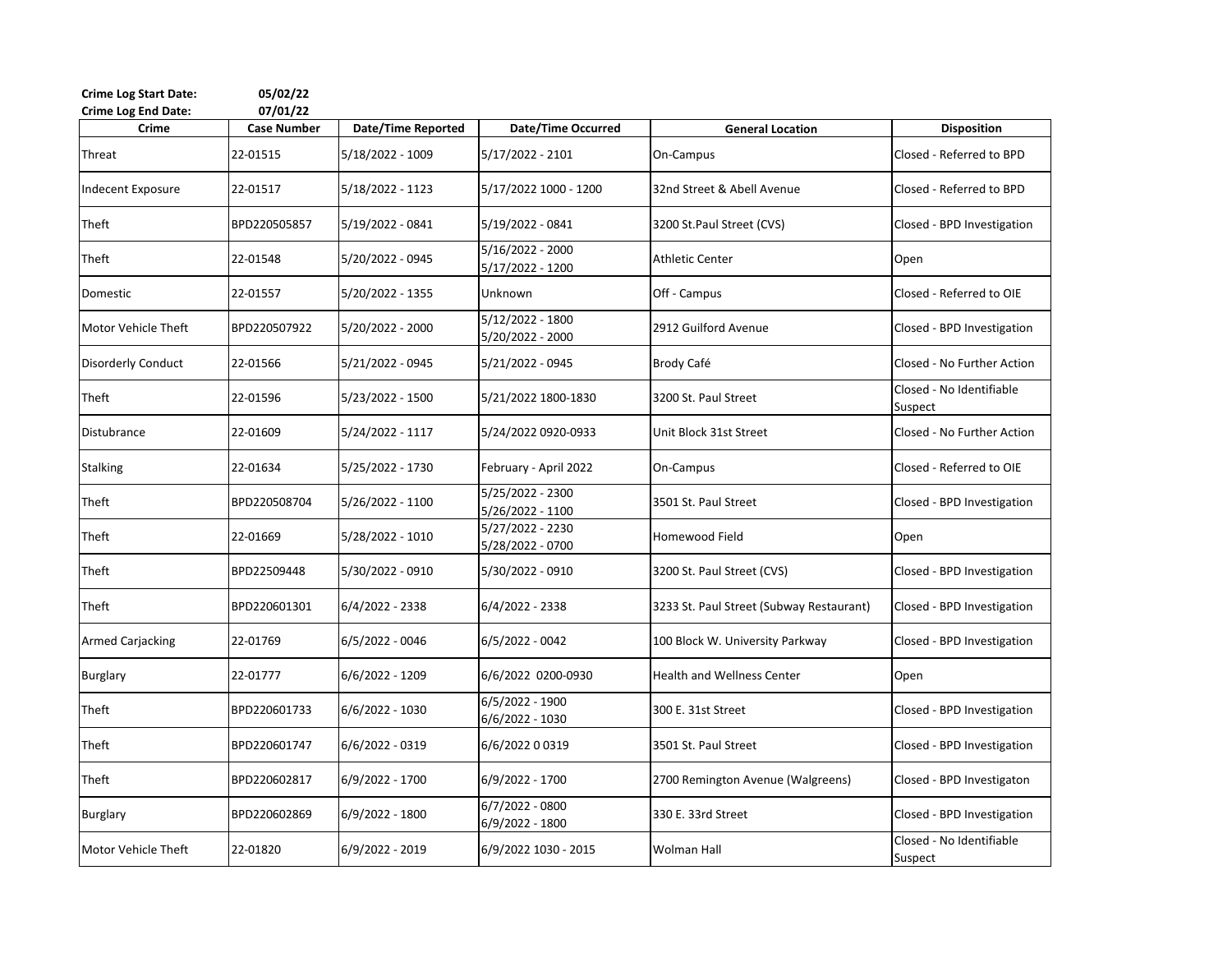| <b>Crime Log Start Date:</b><br><b>Crime Log End Date:</b> | 05/02/22<br>07/01/22 |                           |                                        |                                          |                                     |
|------------------------------------------------------------|----------------------|---------------------------|----------------------------------------|------------------------------------------|-------------------------------------|
| Crime                                                      | <b>Case Number</b>   | <b>Date/Time Reported</b> | <b>Date/Time Occurred</b>              | <b>General Location</b>                  | <b>Disposition</b>                  |
| Threat                                                     | 22-01515             | 5/18/2022 - 1009          | 5/17/2022 - 2101                       | On-Campus                                | Closed - Referred to BPD            |
| <b>Indecent Exposure</b>                                   | 22-01517             | 5/18/2022 - 1123          | 5/17/2022 1000 - 1200                  | 32nd Street & Abell Avenue               | Closed - Referred to BPD            |
| Theft                                                      | BPD220505857         | 5/19/2022 - 0841          | 5/19/2022 - 0841                       | 3200 St.Paul Street (CVS)                | Closed - BPD Investigation          |
| Theft                                                      | 22-01548             | 5/20/2022 - 0945          | 5/16/2022 - 2000<br>$5/17/2022 - 1200$ | <b>Athletic Center</b>                   | Open                                |
| Domestic                                                   | 22-01557             | 5/20/2022 - 1355          | Unknown                                | Off - Campus                             | Closed - Referred to OIE            |
| Motor Vehicle Theft                                        | BPD220507922         | 5/20/2022 - 2000          | 5/12/2022 - 1800<br>5/20/2022 - 2000   | 2912 Guilford Avenue                     | Closed - BPD Investigation          |
| <b>Disorderly Conduct</b>                                  | 22-01566             | 5/21/2022 - 0945          | 5/21/2022 - 0945                       | Brody Café                               | Closed - No Further Action          |
| Theft                                                      | 22-01596             | 5/23/2022 - 1500          | 5/21/2022 1800-1830                    | 3200 St. Paul Street                     | Closed - No Identifiable<br>Suspect |
| Distubrance                                                | 22-01609             | 5/24/2022 - 1117          | 5/24/2022 0920-0933                    | Unit Block 31st Street                   | Closed - No Further Action          |
| <b>Stalking</b>                                            | 22-01634             | 5/25/2022 - 1730          | February - April 2022                  | On-Campus                                | Closed - Referred to OIE            |
| Theft                                                      | BPD220508704         | 5/26/2022 - 1100          | 5/25/2022 - 2300<br>5/26/2022 - 1100   | 3501 St. Paul Street                     | Closed - BPD Investigation          |
| Theft                                                      | 22-01669             | 5/28/2022 - 1010          | 5/27/2022 - 2230<br>5/28/2022 - 0700   | Homewood Field                           | Open                                |
| Theft                                                      | BPD22509448          | 5/30/2022 - 0910          | 5/30/2022 - 0910                       | 3200 St. Paul Street (CVS)               | Closed - BPD Investigation          |
| Theft                                                      | BPD220601301         | 6/4/2022 - 2338           | 6/4/2022 - 2338                        | 3233 St. Paul Street (Subway Restaurant) | Closed - BPD Investigation          |
| <b>Armed Carjacking</b>                                    | 22-01769             | 6/5/2022 - 0046           | 6/5/2022 - 0042                        | 100 Block W. University Parkway          | Closed - BPD Investigation          |
| <b>Burglary</b>                                            | 22-01777             | 6/6/2022 - 1209           | 6/6/2022 0200-0930                     | <b>Health and Wellness Center</b>        | Open                                |
| Theft                                                      | BPD220601733         | 6/6/2022 - 1030           | $6/5/2022 - 1900$<br>6/6/2022 - 1030   | 300 E. 31st Street                       | Closed - BPD Investigation          |
| Theft                                                      | BPD220601747         | 6/6/2022 - 0319           | 6/6/2022 0 0319                        | 3501 St. Paul Street                     | Closed - BPD Investigation          |
| Theft                                                      | BPD220602817         | 6/9/2022 - 1700           | 6/9/2022 - 1700                        | 2700 Remington Avenue (Walgreens)        | Closed - BPD Investigaton           |
| <b>Burglary</b>                                            | BPD220602869         | 6/9/2022 - 1800           | $6/7/2022 - 0800$<br>6/9/2022 - 1800   | 330 E. 33rd Street                       | Closed - BPD Investigation          |
| Motor Vehicle Theft                                        | 22-01820             | 6/9/2022 - 2019           | 6/9/2022 1030 - 2015                   | Wolman Hall                              | Closed - No Identifiable<br>Suspect |